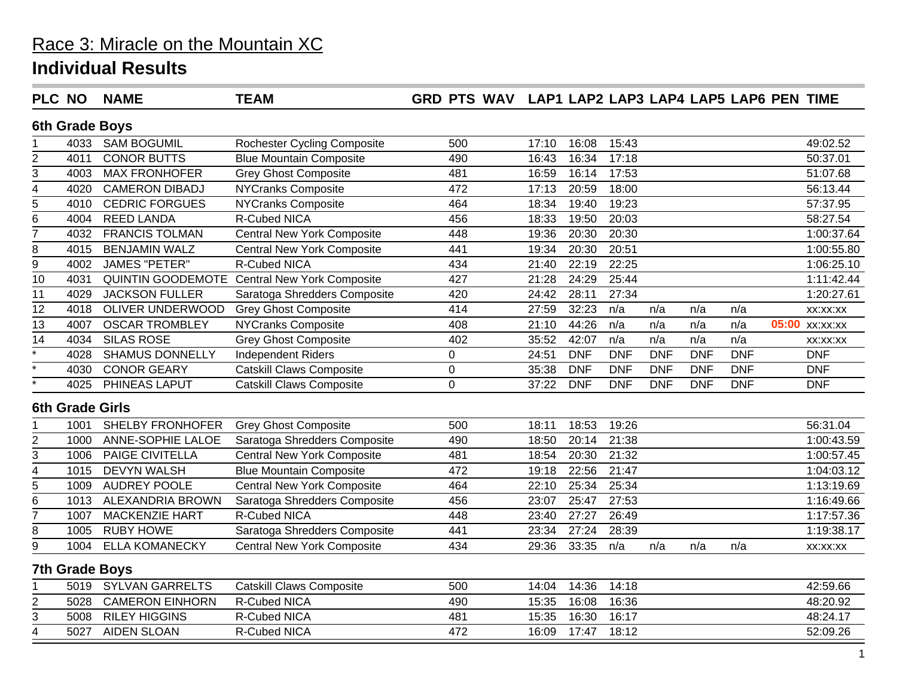| <b>PLC NO</b>           |                        | <b>NAME</b>             | <b>TEAM</b>                                         | GRD PTS WAV LAP1 LAP2 LAP3 LAP4 LAP5 LAP6 PEN TIME |       |            |                    |            |            |            |                |
|-------------------------|------------------------|-------------------------|-----------------------------------------------------|----------------------------------------------------|-------|------------|--------------------|------------|------------|------------|----------------|
|                         |                        | 6th Grade Boys          |                                                     |                                                    |       |            |                    |            |            |            |                |
|                         | 4033                   | <b>SAM BOGUMIL</b>      | <b>Rochester Cycling Composite</b>                  | 500                                                | 17:10 | 16:08      | 15:43              |            |            |            | 49:02.52       |
| $\overline{c}$          | 4011                   | <b>CONOR BUTTS</b>      | <b>Blue Mountain Composite</b>                      | 490                                                | 16:43 | 16:34      | 17:18              |            |            |            | 50:37.01       |
| 3                       | 4003                   | <b>MAX FRONHOFER</b>    | <b>Grey Ghost Composite</b>                         | 481                                                | 16:59 | 16:14      | 17:53              |            |            |            | 51:07.68       |
| 4                       | 4020                   | <b>CAMERON DIBADJ</b>   | <b>NYCranks Composite</b>                           | 472                                                | 17:13 | 20:59      | 18:00              |            |            |            | 56:13.44       |
| $\overline{5}$          | 4010                   | <b>CEDRIC FORGUES</b>   | <b>NYCranks Composite</b>                           | 464                                                | 18:34 | 19:40      | 19:23              |            |            |            | 57:37.95       |
| 6                       | 4004                   | <b>REED LANDA</b>       | <b>R-Cubed NICA</b>                                 | 456                                                | 18:33 | 19:50      | 20:03              |            |            |            | 58:27.54       |
| $\overline{7}$          | 4032                   | <b>FRANCIS TOLMAN</b>   | <b>Central New York Composite</b>                   | 448                                                | 19:36 | 20:30      | 20:30              |            |            |            | 1:00:37.64     |
| 8                       | 4015                   | <b>BENJAMIN WALZ</b>    | <b>Central New York Composite</b>                   | 441                                                | 19:34 | 20:30      | 20:51              |            |            |            | 1:00:55.80     |
| $\overline{9}$          | 4002                   | <b>JAMES "PETER"</b>    | <b>R-Cubed NICA</b>                                 | 434                                                | 21:40 | 22:19      | 22:25              |            |            |            | 1:06:25.10     |
| 10                      | 4031                   |                         | <b>QUINTIN GOODEMOTE Central New York Composite</b> | 427                                                | 21:28 | 24:29      | 25:44              |            |            |            | 1:11:42.44     |
| 11                      | 4029                   | <b>JACKSON FULLER</b>   | Saratoga Shredders Composite                        | 420                                                | 24:42 | 28:11      | 27:34              |            |            |            | 1:20:27.61     |
| 12                      | 4018                   | OLIVER UNDERWOOD        | <b>Grey Ghost Composite</b>                         | 414                                                | 27:59 | 32:23      | n/a                | n/a        | n/a        | n/a        | XX:XX:XX       |
| $\overline{13}$         | 4007                   | <b>OSCAR TROMBLEY</b>   | <b>NYCranks Composite</b>                           | 408                                                | 21:10 | 44:26      | n/a                | n/a        | n/a        | n/a        | 05:00 xx:xx:xx |
| $\overline{14}$         | 4034                   | <b>SILAS ROSE</b>       | <b>Grey Ghost Composite</b>                         | 402                                                | 35:52 | 42:07      | n/a                | n/a        | n/a        | n/a        | XX:XX:XX       |
| $\overline{\cdot}$      | 4028                   | <b>SHAMUS DONNELLY</b>  | Independent Riders                                  | $\pmb{0}$                                          | 24:51 | <b>DNF</b> | <b>DNF</b>         | <b>DNF</b> | <b>DNF</b> | <b>DNF</b> | <b>DNF</b>     |
|                         | 4030                   | <b>CONOR GEARY</b>      | <b>Catskill Claws Composite</b>                     | $\pmb{0}$                                          | 35:38 | <b>DNF</b> | <b>DNF</b>         | <b>DNF</b> | <b>DNF</b> | <b>DNF</b> | <b>DNF</b>     |
|                         | 4025                   | PHINEAS LAPUT           | <b>Catskill Claws Composite</b>                     | $\mathbf 0$                                        | 37:22 | <b>DNF</b> | <b>DNF</b>         | <b>DNF</b> | <b>DNF</b> | <b>DNF</b> | <b>DNF</b>     |
|                         | <b>6th Grade Girls</b> |                         |                                                     |                                                    |       |            |                    |            |            |            |                |
|                         | 1001                   | <b>SHELBY FRONHOFER</b> | <b>Grey Ghost Composite</b>                         | 500                                                | 18:11 | 18:53      | 19:26              |            |            |            | 56:31.04       |
| $\overline{c}$          | 1000                   | ANNE-SOPHIE LALOE       | Saratoga Shredders Composite                        | 490                                                | 18:50 | 20:14      | $\overline{21:38}$ |            |            |            | 1:00:43.59     |
| $\overline{3}$          | 1006                   | <b>PAIGE CIVITELLA</b>  | <b>Central New York Composite</b>                   | 481                                                | 18:54 | 20:30      | 21:32              |            |            |            | 1:00:57.45     |
| $\overline{\mathbf{4}}$ | 1015                   | <b>DEVYN WALSH</b>      | <b>Blue Mountain Composite</b>                      | 472                                                | 19:18 | 22:56      | 21:47              |            |            |            | 1:04:03.12     |
| 5                       | 1009                   | <b>AUDREY POOLE</b>     | <b>Central New York Composite</b>                   | 464                                                | 22:10 | 25:34      | 25:34              |            |            |            | 1:13:19.69     |
| 6                       | 1013                   | <b>ALEXANDRIA BROWN</b> | Saratoga Shredders Composite                        | 456                                                | 23:07 | 25:47      | 27:53              |            |            |            | 1:16:49.66     |
| 7                       | 1007                   | <b>MACKENZIE HART</b>   | <b>R-Cubed NICA</b>                                 | 448                                                | 23:40 | 27:27      | 26:49              |            |            |            | 1:17:57.36     |
| 8                       | 1005                   | <b>RUBY HOWE</b>        | Saratoga Shredders Composite                        | 441                                                | 23:34 | 27:24      | 28:39              |            |            |            | 1:19:38.17     |
| 9                       | 1004                   | <b>ELLA KOMANECKY</b>   | <b>Central New York Composite</b>                   | 434                                                | 29:36 | 33:35      | n/a                | n/a        | n/a        | n/a        | XX:XX:XX       |
|                         |                        | <b>7th Grade Boys</b>   |                                                     |                                                    |       |            |                    |            |            |            |                |
|                         | 5019                   | <b>SYLVAN GARRELTS</b>  | <b>Catskill Claws Composite</b>                     | 500                                                | 14:04 | 14:36      | 14:18              |            |            |            | 42:59.66       |
| $\overline{2}$          | 5028                   | <b>CAMERON EINHORN</b>  | <b>R-Cubed NICA</b>                                 | 490                                                | 15:35 | 16:08      | 16:36              |            |            |            | 48:20.92       |
| 3                       | 5008                   | <b>RILEY HIGGINS</b>    | R-Cubed NICA                                        | 481                                                | 15:35 | 16:30      | 16:17              |            |            |            | 48:24.17       |
| $\overline{4}$          | 5027                   | <b>AIDEN SLOAN</b>      | R-Cubed NICA                                        | 472                                                | 16:09 | 17:47      | 18:12              |            |            |            | 52:09.26       |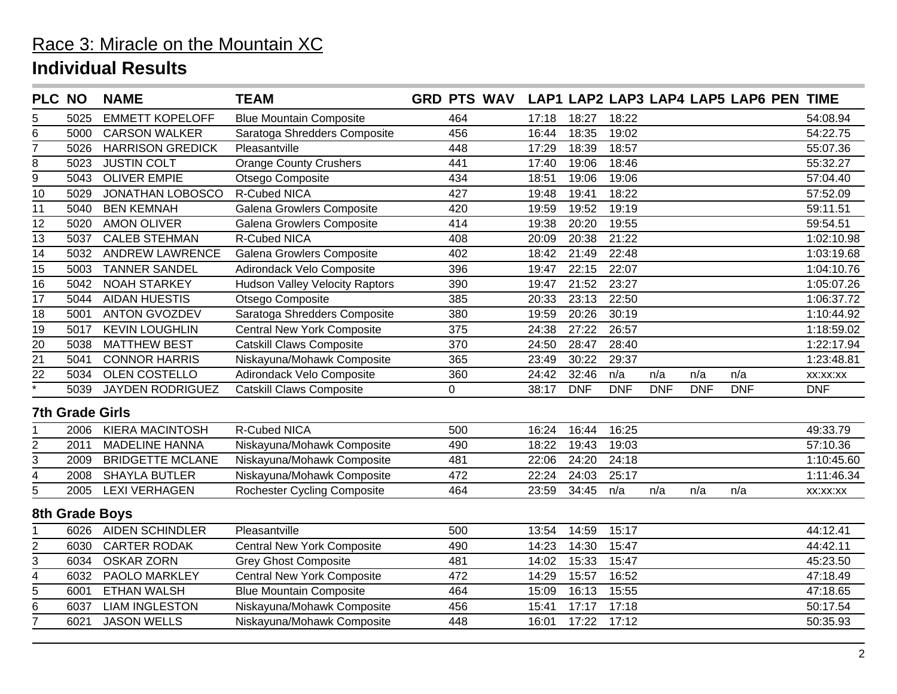| <b>PLC NO</b>           |                        | <b>NAME</b>             | <b>TEAM</b>                           | <b>GRD PTS WAV</b> |       |            |            |            |            | LAP1 LAP2 LAP3 LAP4 LAP5 LAP6 PEN TIME |            |
|-------------------------|------------------------|-------------------------|---------------------------------------|--------------------|-------|------------|------------|------------|------------|----------------------------------------|------------|
| 5                       | 5025                   | <b>EMMETT KOPELOFF</b>  | <b>Blue Mountain Composite</b>        | 464                | 17:18 | 18:27      | 18:22      |            |            |                                        | 54:08.94   |
| 6                       | 5000                   | <b>CARSON WALKER</b>    | Saratoga Shredders Composite          | 456                | 16:44 | 18:35      | 19:02      |            |            |                                        | 54:22.75   |
| 7                       | 5026                   | <b>HARRISON GREDICK</b> | Pleasantville                         | 448                | 17:29 | 18:39      | 18:57      |            |            |                                        | 55:07.36   |
| 8                       | 5023                   | <b>JUSTIN COLT</b>      | <b>Orange County Crushers</b>         | 441                | 17:40 | 19:06      | 18:46      |            |            |                                        | 55:32.27   |
| 9                       | 5043                   | <b>OLIVER EMPIE</b>     | Otsego Composite                      | 434                | 18:51 | 19:06      | 19:06      |            |            |                                        | 57:04.40   |
| 10                      | 5029                   | JONATHAN LOBOSCO        | R-Cubed NICA                          | 427                | 19:48 | 19:41      | 18:22      |            |            |                                        | 57:52.09   |
| 11                      | 5040                   | <b>BEN KEMNAH</b>       | Galena Growlers Composite             | 420                | 19:59 | 19:52      | 19:19      |            |            |                                        | 59:11.51   |
| 12                      | 5020                   | <b>AMON OLIVER</b>      | Galena Growlers Composite             | 414                | 19:38 | 20:20      | 19:55      |            |            |                                        | 59:54.51   |
| 13                      | 5037                   | <b>CALEB STEHMAN</b>    | R-Cubed NICA                          | 408                | 20:09 | 20:38      | 21:22      |            |            |                                        | 1:02:10.98 |
| $\overline{14}$         | 5032                   | <b>ANDREW LAWRENCE</b>  | Galena Growlers Composite             | 402                | 18:42 | 21:49      | 22:48      |            |            |                                        | 1:03:19.68 |
| 15                      | 5003                   | <b>TANNER SANDEL</b>    | Adirondack Velo Composite             | 396                | 19:47 | 22:15      | 22:07      |            |            |                                        | 1:04:10.76 |
| 16                      | 5042                   | <b>NOAH STARKEY</b>     | <b>Hudson Valley Velocity Raptors</b> | 390                | 19:47 | 21:52      | 23:27      |            |            |                                        | 1:05:07.26 |
| $\overline{17}$         | 5044                   | <b>AIDAN HUESTIS</b>    | Otsego Composite                      | 385                | 20:33 | 23:13      | 22:50      |            |            |                                        | 1:06:37.72 |
| 18                      | 5001                   | <b>ANTON GVOZDEV</b>    | Saratoga Shredders Composite          | 380                | 19:59 | 20:26      | 30:19      |            |            |                                        | 1:10:44.92 |
| $\overline{19}$         | 5017                   | <b>KEVIN LOUGHLIN</b>   | <b>Central New York Composite</b>     | 375                | 24:38 | 27:22      | 26:57      |            |            |                                        | 1:18:59.02 |
| $\overline{20}$         | 5038                   | <b>MATTHEW BEST</b>     | <b>Catskill Claws Composite</b>       | 370                | 24:50 | 28:47      | 28:40      |            |            |                                        | 1:22:17.94 |
| 21                      | 5041                   | <b>CONNOR HARRIS</b>    | Niskayuna/Mohawk Composite            | 365                | 23:49 | 30:22      | 29:37      |            |            |                                        | 1:23:48.81 |
| 22                      | 5034                   | <b>OLEN COSTELLO</b>    | Adirondack Velo Composite             | 360                | 24:42 | 32:46      | n/a        | n/a        | n/a        | n/a                                    | XX:XX:XX   |
| $\overline{\ast}$       | 5039                   | <b>JAYDEN RODRIGUEZ</b> | <b>Catskill Claws Composite</b>       | 0                  | 38:17 | <b>DNF</b> | <b>DNF</b> | <b>DNF</b> | <b>DNF</b> | <b>DNF</b>                             | <b>DNF</b> |
|                         | <b>7th Grade Girls</b> |                         |                                       |                    |       |            |            |            |            |                                        |            |
|                         | 2006                   | <b>KIERA MACINTOSH</b>  | <b>R-Cubed NICA</b>                   | 500                | 16:24 | 16:44      | 16:25      |            |            |                                        | 49:33.79   |
| $\overline{2}$          | 2011                   | <b>MADELINE HANNA</b>   | Niskayuna/Mohawk Composite            | 490                | 18:22 | 19:43      | 19:03      |            |            |                                        | 57:10.36   |
| 3                       | 2009                   | <b>BRIDGETTE MCLANE</b> | Niskayuna/Mohawk Composite            | 481                | 22:06 | 24:20      | 24:18      |            |            |                                        | 1:10:45.60 |
| 4                       | 2008                   | <b>SHAYLA BUTLER</b>    | Niskayuna/Mohawk Composite            | 472                | 22:24 | 24:03      | 25:17      |            |            |                                        | 1:11:46.34 |
| 5                       | 2005                   | <b>LEXI VERHAGEN</b>    | <b>Rochester Cycling Composite</b>    | 464                | 23:59 | 34:45      | n/a        | n/a        | n/a        | n/a                                    | XX:XX:XX   |
|                         |                        | 8th Grade Boys          |                                       |                    |       |            |            |            |            |                                        |            |
|                         | 6026                   | <b>AIDEN SCHINDLER</b>  | Pleasantville                         | 500                | 13:54 | 14:59      | 15:17      |            |            |                                        | 44:12.41   |
| 2                       | 6030                   | <b>CARTER RODAK</b>     | <b>Central New York Composite</b>     | 490                | 14:23 | 14:30      | 15:47      |            |            |                                        | 44:42.11   |
| 3                       | 6034                   | <b>OSKAR ZORN</b>       | <b>Grey Ghost Composite</b>           | 481                | 14:02 | 15:33      | 15:47      |            |            |                                        | 45:23.50   |
| $\overline{\mathbf{4}}$ | 6032                   | <b>PAOLO MARKLEY</b>    | <b>Central New York Composite</b>     | 472                | 14:29 | 15:57      | 16:52      |            |            |                                        | 47:18.49   |
| 5                       | 6001                   | <b>ETHAN WALSH</b>      | <b>Blue Mountain Composite</b>        | 464                | 15:09 | 16:13      | 15:55      |            |            |                                        | 47:18.65   |
| 6                       | 6037                   | <b>LIAM INGLESTON</b>   | Niskayuna/Mohawk Composite            | 456                | 15:41 | 17:17      | 17:18      |            |            |                                        | 50:17.54   |
| $\overline{7}$          | 6021                   | <b>JASON WELLS</b>      | Niskayuna/Mohawk Composite            | 448                | 16:01 | 17:22      | 17:12      |            |            |                                        | 50:35.93   |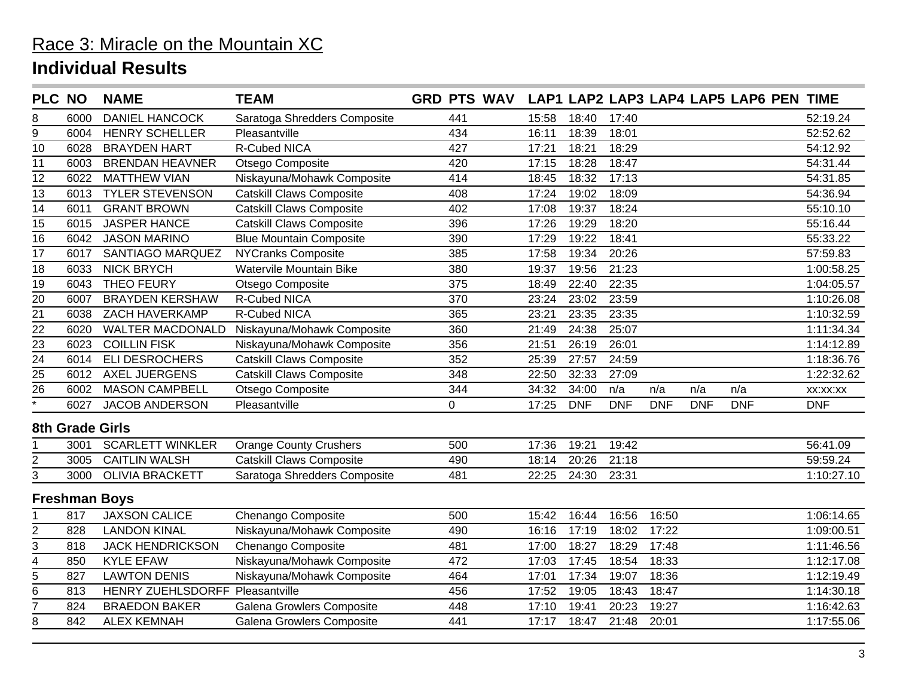| <b>PLC NO</b>      |                 | <b>NAME</b>             | <b>TEAM</b>                     | <b>GRD PTS WAV</b> |       |            |            |            |            | LAP1 LAP2 LAP3 LAP4 LAP5 LAP6 PEN TIME |            |
|--------------------|-----------------|-------------------------|---------------------------------|--------------------|-------|------------|------------|------------|------------|----------------------------------------|------------|
| 8                  | 6000            | <b>DANIEL HANCOCK</b>   | Saratoga Shredders Composite    | 441                | 15:58 | 18:40      | 17:40      |            |            |                                        | 52:19.24   |
| 9                  | 6004            | <b>HENRY SCHELLER</b>   | Pleasantville                   | 434                | 16:11 | 18:39      | 18:01      |            |            |                                        | 52:52.62   |
| 10                 | 6028            | <b>BRAYDEN HART</b>     | <b>R-Cubed NICA</b>             | 427                | 17:21 | 18:21      | 18:29      |            |            |                                        | 54:12.92   |
| 11                 | 6003            | <b>BRENDAN HEAVNER</b>  | Otsego Composite                | 420                | 17:15 | 18:28      | 18:47      |            |            |                                        | 54:31.44   |
| 12                 | 6022            | <b>MATTHEW VIAN</b>     | Niskayuna/Mohawk Composite      | 414                | 18:45 | 18:32      | 17:13      |            |            |                                        | 54:31.85   |
| 13                 | 6013            | <b>TYLER STEVENSON</b>  | <b>Catskill Claws Composite</b> | 408                | 17:24 | 19:02      | 18:09      |            |            |                                        | 54:36.94   |
| 14                 | 6011            | <b>GRANT BROWN</b>      | <b>Catskill Claws Composite</b> | 402                | 17:08 | 19:37      | 18:24      |            |            |                                        | 55:10.10   |
| 15                 | 6015            | <b>JASPER HANCE</b>     | <b>Catskill Claws Composite</b> | 396                | 17:26 | 19:29      | 18:20      |            |            |                                        | 55:16.44   |
| 16                 | 6042            | <b>JASON MARINO</b>     | <b>Blue Mountain Composite</b>  | 390                | 17:29 | 19:22      | 18:41      |            |            |                                        | 55:33.22   |
| 17                 | 6017            | SANTIAGO MARQUEZ        | <b>NYCranks Composite</b>       | 385                | 17:58 | 19:34      | 20:26      |            |            |                                        | 57:59.83   |
| 18                 | 6033            | <b>NICK BRYCH</b>       | Watervile Mountain Bike         | 380                | 19:37 | 19:56      | 21:23      |            |            |                                        | 1:00:58.25 |
| 19                 | 6043            | <b>THEO FEURY</b>       | Otsego Composite                | 375                | 18:49 | 22:40      | 22:35      |            |            |                                        | 1:04:05.57 |
| 20                 | 6007            | <b>BRAYDEN KERSHAW</b>  | R-Cubed NICA                    | 370                | 23:24 | 23:02      | 23:59      |            |            |                                        | 1:10:26.08 |
| $\overline{21}$    | 6038            | ZACH HAVERKAMP          | <b>R-Cubed NICA</b>             | 365                | 23:21 | 23:35      | 23:35      |            |            |                                        | 1:10:32.59 |
| 22                 | 6020            | <b>WALTER MACDONALD</b> | Niskayuna/Mohawk Composite      | 360                | 21:49 | 24:38      | 25:07      |            |            |                                        | 1:11:34.34 |
| 23                 | 6023            | <b>COILLIN FISK</b>     | Niskayuna/Mohawk Composite      | 356                | 21:51 | 26:19      | 26:01      |            |            |                                        | 1:14:12.89 |
| $\overline{24}$    | 6014            | <b>ELI DESROCHERS</b>   | <b>Catskill Claws Composite</b> | 352                | 25:39 | 27:57      | 24:59      |            |            |                                        | 1:18:36.76 |
| 25                 | 6012            | <b>AXEL JUERGENS</b>    | <b>Catskill Claws Composite</b> | 348                | 22:50 | 32:33      | 27:09      |            |            |                                        | 1:22:32.62 |
| 26                 | 6002            | <b>MASON CAMPBELL</b>   | Otsego Composite                | 344                | 34:32 | 34:00      | n/a        | n/a        | n/a        | n/a                                    | XX:XX:XX   |
| $\overline{\cdot}$ | 6027            | JACOB ANDERSON          | Pleasantville                   | $\overline{0}$     | 17:25 | <b>DNF</b> | <b>DNF</b> | <b>DNF</b> | <b>DNF</b> | <b>DNF</b>                             | <b>DNF</b> |
|                    | 8th Grade Girls |                         |                                 |                    |       |            |            |            |            |                                        |            |
|                    | 3001            | <b>SCARLETT WINKLER</b> | <b>Orange County Crushers</b>   | 500                | 17:36 | 19:21      | 19:42      |            |            |                                        | 56:41.09   |
| 2                  | 3005            | <b>CAITLIN WALSH</b>    | <b>Catskill Claws Composite</b> | 490                | 18:14 | 20:26      | 21:18      |            |            |                                        | 59:59.24   |
| 3                  | 3000            | <b>OLIVIA BRACKETT</b>  | Saratoga Shredders Composite    | 481                | 22:25 | 24:30      | 23:31      |            |            |                                        | 1:10:27.10 |
|                    |                 | <b>Freshman Boys</b>    |                                 |                    |       |            |            |            |            |                                        |            |
|                    | 817             | <b>JAXSON CALICE</b>    | Chenango Composite              | 500                | 15:42 | 16:44      | 16:56      | 16:50      |            |                                        | 1:06:14.65 |
| 2                  | 828             | <b>LANDON KINAL</b>     | Niskayuna/Mohawk Composite      | 490                | 16:16 | 17:19      | 18:02      | 17:22      |            |                                        | 1:09:00.51 |
| $\overline{3}$     | 818             | <b>JACK HENDRICKSON</b> | Chenango Composite              | 481                | 17:00 | 18:27      | 18:29      | 17:48      |            |                                        | 1:11:46.56 |
| 4                  | 850             | <b>KYLE EFAW</b>        | Niskayuna/Mohawk Composite      | 472                | 17:03 | 17:45      | 18:54      | 18:33      |            |                                        | 1:12:17.08 |
| 5                  | 827             | <b>LAWTON DENIS</b>     | Niskayuna/Mohawk Composite      | 464                | 17:01 | 17:34      | 19:07      | 18:36      |            |                                        | 1:12:19.49 |
| 6                  | 813             | HENRY ZUEHLSDORFF       | Pleasantville                   | 456                | 17:52 | 19:05      | 18:43      | 18:47      |            |                                        | 1:14:30.18 |
| $\overline{7}$     | 824             | <b>BRAEDON BAKER</b>    | Galena Growlers Composite       | 448                | 17:10 | 19:41      | 20:23      | 19:27      |            |                                        | 1:16:42.63 |
| 8                  | 842             | <b>ALEX KEMNAH</b>      | Galena Growlers Composite       | 441                | 17:17 | 18:47      | 21:48      | 20:01      |            |                                        | 1:17:55.06 |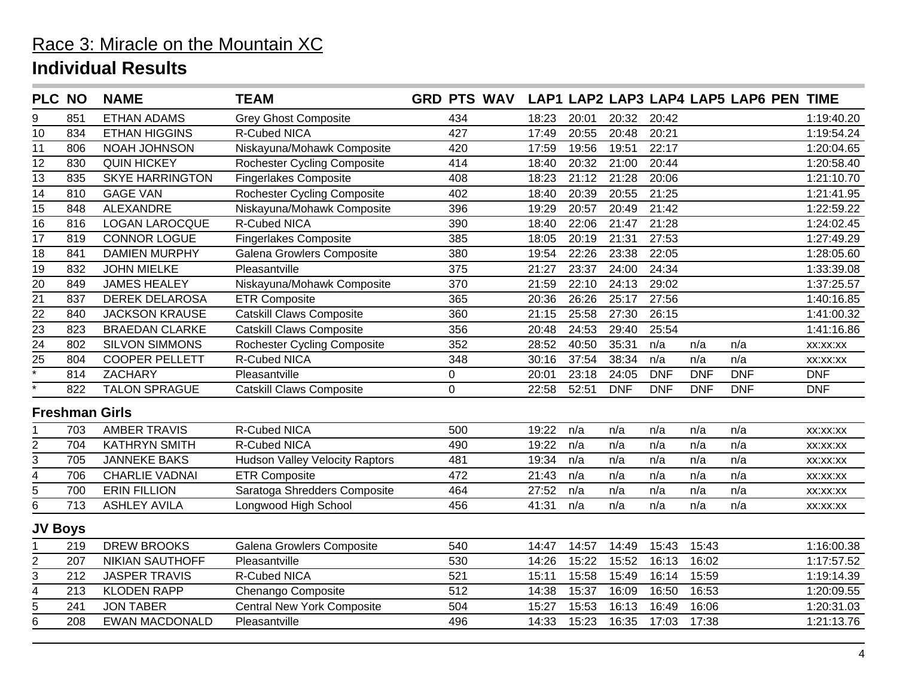| <b>PLC NO</b>           |     | <b>NAME</b>            | <b>TEAM</b>                           | <b>GRD PTS WAV</b> |       |       |                    |            |            | LAP1 LAP2 LAP3 LAP4 LAP5 LAP6 PEN TIME |            |
|-------------------------|-----|------------------------|---------------------------------------|--------------------|-------|-------|--------------------|------------|------------|----------------------------------------|------------|
| 9                       | 851 | <b>ETHAN ADAMS</b>     | <b>Grey Ghost Composite</b>           | 434                | 18:23 | 20:01 | 20:32              | 20:42      |            |                                        | 1:19:40.20 |
| 10                      | 834 | <b>ETHAN HIGGINS</b>   | R-Cubed NICA                          | 427                | 17:49 | 20:55 | 20:48              | 20:21      |            |                                        | 1:19:54.24 |
| 11                      | 806 | NOAH JOHNSON           | Niskayuna/Mohawk Composite            | 420                | 17:59 | 19:56 | 19:51              | 22:17      |            |                                        | 1:20:04.65 |
| 12                      | 830 | <b>QUIN HICKEY</b>     | <b>Rochester Cycling Composite</b>    | 414                | 18:40 | 20:32 | 21:00              | 20:44      |            |                                        | 1:20:58.40 |
| 13                      | 835 | <b>SKYE HARRINGTON</b> | <b>Fingerlakes Composite</b>          | 408                | 18:23 | 21:12 | 21:28              | 20:06      |            |                                        | 1:21:10.70 |
| 14                      | 810 | <b>GAGE VAN</b>        | <b>Rochester Cycling Composite</b>    | 402                | 18:40 | 20:39 | 20:55              | 21:25      |            |                                        | 1:21:41.95 |
| 15                      | 848 | ALEXANDRE              | Niskayuna/Mohawk Composite            | 396                | 19:29 | 20:57 | 20:49              | 21:42      |            |                                        | 1:22:59.22 |
| $\overline{16}$         | 816 | <b>LOGAN LAROCQUE</b>  | <b>R-Cubed NICA</b>                   | 390                | 18:40 | 22:06 | 21:47              | 21:28      |            |                                        | 1:24:02.45 |
| $\overline{17}$         | 819 | <b>CONNOR LOGUE</b>    | <b>Fingerlakes Composite</b>          | 385                | 18:05 | 20:19 | 21:31              | 27:53      |            |                                        | 1:27:49.29 |
| 18                      | 841 | <b>DAMIEN MURPHY</b>   | Galena Growlers Composite             | 380                | 19:54 | 22:26 | 23:38              | 22:05      |            |                                        | 1:28:05.60 |
| $\overline{19}$         | 832 | <b>JOHN MIELKE</b>     | Pleasantville                         | 375                | 21:27 | 23:37 | $\overline{24:}00$ | 24:34      |            |                                        | 1:33:39.08 |
| 20                      | 849 | <b>JAMES HEALEY</b>    | Niskayuna/Mohawk Composite            | 370                | 21:59 | 22:10 | 24:13              | 29:02      |            |                                        | 1:37:25.57 |
| $\overline{21}$         | 837 | <b>DEREK DELAROSA</b>  | <b>ETR Composite</b>                  | 365                | 20:36 | 26:26 | 25:17              | 27:56      |            |                                        | 1:40:16.85 |
| $\overline{22}$         | 840 | <b>JACKSON KRAUSE</b>  | <b>Catskill Claws Composite</b>       | 360                | 21:15 | 25:58 | 27:30              | 26:15      |            |                                        | 1:41:00.32 |
| $\overline{23}$         | 823 | <b>BRAEDAN CLARKE</b>  | <b>Catskill Claws Composite</b>       | 356                | 20:48 | 24:53 | 29:40              | 25:54      |            |                                        | 1:41:16.86 |
| $\frac{24}{25}$         | 802 | <b>SILVON SIMMONS</b>  | <b>Rochester Cycling Composite</b>    | 352                | 28:52 | 40:50 | 35:31              | n/a        | n/a        | n/a                                    | XX:XX:XX   |
|                         | 804 | <b>COOPER PELLETT</b>  | R-Cubed NICA                          | 348                | 30:16 | 37:54 | 38:34              | n/a        | n/a        | n/a                                    | XX:XX:XX   |
| $\overline{\cdot}$      | 814 | <b>ZACHARY</b>         | Pleasantville                         | 0                  | 20:01 | 23:18 | 24:05              | <b>DNF</b> | <b>DNF</b> | <b>DNF</b>                             | <b>DNF</b> |
|                         | 822 | <b>TALON SPRAGUE</b>   | <b>Catskill Claws Composite</b>       | 0                  | 22:58 | 52:51 | <b>DNF</b>         | <b>DNF</b> | <b>DNF</b> | <b>DNF</b>                             | <b>DNF</b> |
|                         |     | <b>Freshman Girls</b>  |                                       |                    |       |       |                    |            |            |                                        |            |
|                         | 703 | <b>AMBER TRAVIS</b>    | <b>R-Cubed NICA</b>                   | 500                | 19:22 | n/a   | n/a                | n/a        | n/a        | n/a                                    | XX:XX:XX   |
| $\overline{\mathbf{c}}$ | 704 | <b>KATHRYN SMITH</b>   | <b>R-Cubed NICA</b>                   | 490                | 19:22 | n/a   | n/a                | n/a        | n/a        | n/a                                    | XX:XX:XX   |
| $\overline{3}$          | 705 | <b>JANNEKE BAKS</b>    | <b>Hudson Valley Velocity Raptors</b> | 481                | 19:34 | n/a   | n/a                | n/a        | n/a        | n/a                                    | XX:XX:XX   |
| 4                       | 706 | <b>CHARLIE VADNAI</b>  | <b>ETR Composite</b>                  | 472                | 21:43 | n/a   | n/a                | n/a        | n/a        | n/a                                    | XX:XX:XX   |
| $\overline{5}$          | 700 | <b>ERIN FILLION</b>    | Saratoga Shredders Composite          | 464                | 27:52 | n/a   | n/a                | n/a        | n/a        | n/a                                    | XX:XX:XX   |
| 6                       | 713 | <b>ASHLEY AVILA</b>    | Longwood High School                  | 456                | 41:31 | n/a   | n/a                | n/a        | n/a        | n/a                                    | XX:XX:XX   |
| <b>JV Boys</b>          |     |                        |                                       |                    |       |       |                    |            |            |                                        |            |
|                         | 219 | <b>DREW BROOKS</b>     | Galena Growlers Composite             | 540                | 14:47 | 14:57 | 14:49              | 15:43      | 15:43      |                                        | 1:16:00.38 |
| $\overline{2}$          | 207 | <b>NIKIAN SAUTHOFF</b> | Pleasantville                         | 530                | 14:26 | 15:22 | 15:52              | 16:13      | 16:02      |                                        | 1:17:57.52 |
| $\overline{3}$          | 212 | <b>JASPER TRAVIS</b>   | R-Cubed NICA                          | 521                | 15:11 | 15:58 | 15:49              | 16:14      | 15:59      |                                        | 1:19:14.39 |
| 4                       | 213 | <b>KLODEN RAPP</b>     | Chenango Composite                    | 512                | 14:38 | 15:37 | 16:09              | 16:50      | 16:53      |                                        | 1:20:09.55 |
| $\overline{5}$          | 241 | <b>JON TABER</b>       | <b>Central New York Composite</b>     | 504                | 15:27 | 15:53 | 16:13              | 16:49      | 16:06      |                                        | 1:20:31.03 |
| 6                       | 208 | <b>EWAN MACDONALD</b>  | Pleasantville                         | 496                | 14:33 | 15:23 | 16:35              | 17:03      | 17:38      |                                        | 1:21:13.76 |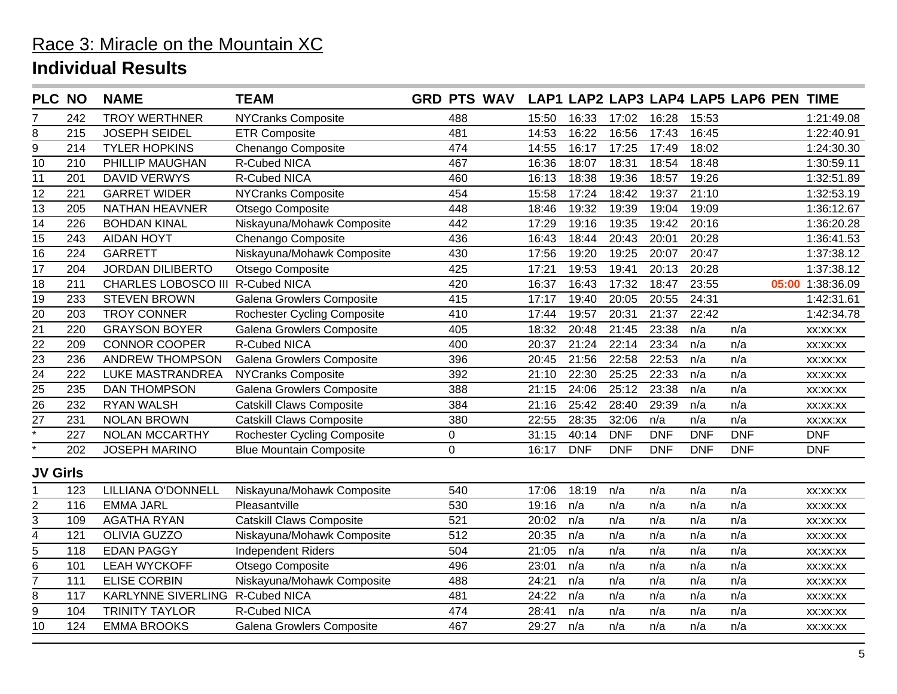| <b>PLC NO</b>     |     | <b>NAME</b>                      | <b>TEAM</b>                        | <b>GRD PTS WAV</b> |       |            |            |            |            | LAP1 LAP2 LAP3 LAP4 LAP5 LAP6 PEN TIME |       |            |
|-------------------|-----|----------------------------------|------------------------------------|--------------------|-------|------------|------------|------------|------------|----------------------------------------|-------|------------|
|                   | 242 | <b>TROY WERTHNER</b>             | <b>NYCranks Composite</b>          | 488                | 15:50 | 16:33      | 17:02      | 16:28      | 15:53      |                                        |       | 1:21:49.08 |
| 8                 | 215 | <b>JOSEPH SEIDEL</b>             | <b>ETR Composite</b>               | 481                | 14:53 | 16:22      | 16:56      | 17:43      | 16:45      |                                        |       | 1:22:40.91 |
| $\overline{9}$    | 214 | <b>TYLER HOPKINS</b>             | Chenango Composite                 | 474                | 14:55 | 16:17      | 17:25      | 17:49      | 18:02      |                                        |       | 1:24:30.30 |
| $\overline{10}$   | 210 | PHILLIP MAUGHAN                  | R-Cubed NICA                       | 467                | 16:36 | 18:07      | 18:31      | 18:54      | 18:48      |                                        |       | 1:30:59.11 |
| $\overline{11}$   | 201 | DAVID VERWYS                     | <b>R-Cubed NICA</b>                | 460                | 16:13 | 18:38      | 19:36      | 18:57      | 19:26      |                                        |       | 1:32:51.89 |
| 12                | 221 | <b>GARRET WIDER</b>              | <b>NYCranks Composite</b>          | 454                | 15:58 | 17:24      | 18:42      | 19:37      | 21:10      |                                        |       | 1:32:53.19 |
| 13                | 205 | NATHAN HEAVNER                   | Otsego Composite                   | 448                | 18:46 | 19:32      | 19:39      | 19:04      | 19:09      |                                        |       | 1:36:12.67 |
| $\overline{14}$   | 226 | <b>BOHDAN KINAL</b>              | Niskayuna/Mohawk Composite         | 442                | 17:29 | 19:16      | 19:35      | 19:42      | 20:16      |                                        |       | 1:36:20.28 |
| 15                | 243 | <b>AIDAN HOYT</b>                | Chenango Composite                 | 436                | 16:43 | 18:44      | 20:43      | 20:01      | 20:28      |                                        |       | 1:36:41.53 |
| 16                | 224 | <b>GARRETT</b>                   | Niskayuna/Mohawk Composite         | 430                | 17:56 | 19:20      | 19:25      | 20:07      | 20:47      |                                        |       | 1:37:38.12 |
| 17                | 204 | <b>JORDAN DILIBERTO</b>          | Otsego Composite                   | 425                | 17:21 | 19:53      | 19:41      | 20:13      | 20:28      |                                        |       | 1:37:38.12 |
| 18                | 211 | CHARLES LOBOSCO III R-Cubed NICA |                                    | 420                | 16:37 | 16:43      | 17:32      | 18:47      | 23:55      |                                        | 05:00 | 1:38:36.09 |
| $\overline{19}$   | 233 | <b>STEVEN BROWN</b>              | Galena Growlers Composite          | 415                | 17:17 | 19:40      | 20:05      | 20:55      | 24:31      |                                        |       | 1:42:31.61 |
| 20                | 203 | <b>TROY CONNER</b>               | <b>Rochester Cycling Composite</b> | 410                | 17:44 | 19:57      | 20:31      | 21:37      | 22:42      |                                        |       | 1:42:34.78 |
| $\overline{21}$   | 220 | <b>GRAYSON BOYER</b>             | Galena Growlers Composite          | 405                | 18:32 | 20:48      | 21:45      | 23:38      | n/a        | n/a                                    |       | XX:XX:XX   |
| $\overline{22}$   | 209 | <b>CONNOR COOPER</b>             | <b>R-Cubed NICA</b>                | 400                | 20:37 | 21:24      | 22:14      | 23:34      | n/a        | n/a                                    |       | XX:XX:XX   |
| $\overline{23}$   | 236 | <b>ANDREW THOMPSON</b>           | Galena Growlers Composite          | 396                | 20:45 | 21:56      | 22:58      | 22:53      | n/a        | n/a                                    |       | XX:XX:XX   |
| $\overline{24}$   | 222 | LUKE MASTRANDREA                 | <b>NYCranks Composite</b>          | 392                | 21:10 | 22:30      | 25:25      | 22:33      | n/a        | n/a                                    |       | XX:XX:XX   |
| $\overline{25}$   | 235 | <b>DAN THOMPSON</b>              | Galena Growlers Composite          | 388                | 21:15 | 24:06      | 25:12      | 23:38      | n/a        | n/a                                    |       | XX:XX:XX   |
| $\overline{26}$   | 232 | <b>RYAN WALSH</b>                | <b>Catskill Claws Composite</b>    | 384                | 21:16 | 25:42      | 28:40      | 29:39      | n/a        | n/a                                    |       | XX:XX:XX   |
| $\overline{27}$   | 231 | <b>NOLAN BROWN</b>               | Catskill Claws Composite           | 380                | 22:55 | 28:35      | 32:06      | n/a        | n/a        | n/a                                    |       | XX:XX:XX   |
| $\overline{\ast}$ | 227 | NOLAN MCCARTHY                   | <b>Rochester Cycling Composite</b> | $\mathsf 0$        | 31:15 | 40:14      | <b>DNF</b> | <b>DNF</b> | <b>DNF</b> | <b>DNF</b>                             |       | <b>DNF</b> |
|                   | 202 | <b>JOSEPH MARINO</b>             | <b>Blue Mountain Composite</b>     | $\mathbf 0$        | 16:17 | <b>DNF</b> | <b>DNF</b> | <b>DNF</b> | <b>DNF</b> | <b>DNF</b>                             |       | <b>DNF</b> |
| <b>JV Girls</b>   |     |                                  |                                    |                    |       |            |            |            |            |                                        |       |            |
|                   | 123 | LILLIANA O'DONNELL               | Niskayuna/Mohawk Composite         | 540                | 17:06 | 18:19      | n/a        | n/a        | n/a        | n/a                                    |       | XX:XX:XX   |
| $\overline{2}$    | 116 | <b>EMMA JARL</b>                 | Pleasantville                      | 530                | 19:16 | n/a        | n/a        | n/a        | n/a        | n/a                                    |       | XX:XX:XX   |
| 3                 | 109 | <b>AGATHA RYAN</b>               | <b>Catskill Claws Composite</b>    | 521                | 20:02 | n/a        | n/a        | n/a        | n/a        | n/a                                    |       | XX:XX:XX   |
| 4                 | 121 | <b>OLIVIA GUZZO</b>              | Niskayuna/Mohawk Composite         | 512                | 20:35 | n/a        | n/a        | n/a        | n/a        | n/a                                    |       | XX:XX:XX   |
| 5                 | 118 | <b>EDAN PAGGY</b>                | <b>Independent Riders</b>          | 504                | 21:05 | n/a        | n/a        | n/a        | n/a        | n/a                                    |       | XX:XX:XX   |
| $\overline{6}$    | 101 | <b>LEAH WYCKOFF</b>              | Otsego Composite                   | 496                | 23:01 | n/a        | n/a        | n/a        | n/a        | n/a                                    |       | XX:XX:XX   |
| $\overline{7}$    | 111 | <b>ELISE CORBIN</b>              | Niskayuna/Mohawk Composite         | 488                | 24:21 | n/a        | n/a        | n/a        | n/a        | n/a                                    |       | XX:XX:XX   |
| 8                 | 117 | KARLYNNE SIVERLING R-Cubed NICA  |                                    | 481                | 24:22 | n/a        | n/a        | n/a        | n/a        | n/a                                    |       | XX:XX:XX   |
| 9                 | 104 | <b>TRINITY TAYLOR</b>            | R-Cubed NICA                       | 474                | 28:41 | n/a        | n/a        | n/a        | n/a        | n/a                                    |       | XX:XX:XX   |
| 10                | 124 | <b>EMMA BROOKS</b>               | Galena Growlers Composite          | 467                | 29:27 | n/a        | n/a        | n/a        | n/a        | n/a                                    |       | XX:XX:XX   |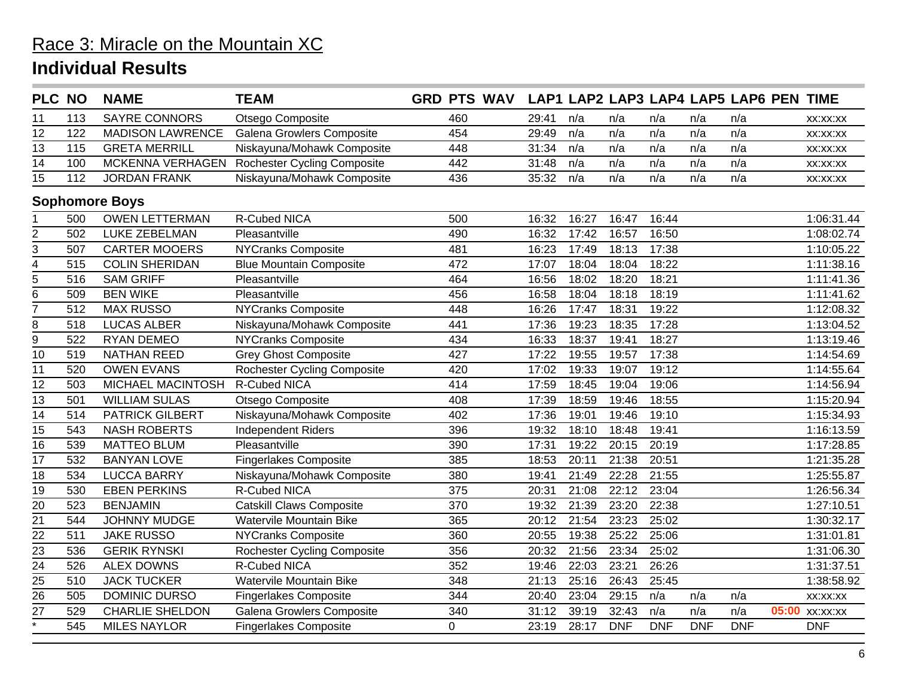| <b>PLC NO</b>      |     | <b>NAME</b>             | <b>TEAM</b>                        | <b>GRD PTS WAV</b> |       |       |            |            |            | LAP1 LAP2 LAP3 LAP4 LAP5 LAP6 PEN TIME |                |
|--------------------|-----|-------------------------|------------------------------------|--------------------|-------|-------|------------|------------|------------|----------------------------------------|----------------|
| 11                 | 113 | <b>SAYRE CONNORS</b>    | Otsego Composite                   | 460                | 29:41 | n/a   | n/a        | n/a        | n/a        | n/a                                    | XX:XX:XX       |
| 12                 | 122 | <b>MADISON LAWRENCE</b> | Galena Growlers Composite          | 454                | 29:49 | n/a   | n/a        | n/a        | n/a        | n/a                                    | XX:XX:XX       |
| $\overline{13}$    | 115 | <b>GRETA MERRILL</b>    | Niskayuna/Mohawk Composite         | 448                | 31:34 | n/a   | n/a        | n/a        | n/a        | n/a                                    | XX:XX:XX       |
| 14                 | 100 | MCKENNA VERHAGEN        | <b>Rochester Cycling Composite</b> | 442                | 31:48 | n/a   | n/a        | n/a        | n/a        | n/a                                    | XX:XX:XX       |
| 15                 | 112 | <b>JORDAN FRANK</b>     | Niskayuna/Mohawk Composite         | 436                | 35:32 | n/a   | n/a        | n/a        | n/a        | n/a                                    | XX:XX:XX       |
|                    |     | <b>Sophomore Boys</b>   |                                    |                    |       |       |            |            |            |                                        |                |
|                    | 500 | <b>OWEN LETTERMAN</b>   | <b>R-Cubed NICA</b>                | 500                | 16:32 | 16:27 | 16:47      | 16:44      |            |                                        | 1:06:31.44     |
| $\overline{2}$     | 502 | <b>LUKE ZEBELMAN</b>    | Pleasantville                      | 490                | 16:32 | 17:42 | 16:57      | 16:50      |            |                                        | 1:08:02.74     |
| 3                  | 507 | <b>CARTER MOOERS</b>    | <b>NYCranks Composite</b>          | 481                | 16:23 | 17:49 | 18:13      | 17:38      |            |                                        | 1:10:05.22     |
| 4                  | 515 | <b>COLIN SHERIDAN</b>   | <b>Blue Mountain Composite</b>     | 472                | 17:07 | 18:04 | 18:04      | 18:22      |            |                                        | 1:11:38.16     |
| 5                  | 516 | <b>SAM GRIFF</b>        | Pleasantville                      | 464                | 16:56 | 18:02 | 18:20      | 18:21      |            |                                        | 1:11:41.36     |
| $\overline{6}$     | 509 | <b>BEN WIKE</b>         | Pleasantville                      | 456                | 16:58 | 18:04 | 18:18      | 18:19      |            |                                        | 1:11:41.62     |
| $\overline{7}$     | 512 | <b>MAX RUSSO</b>        | <b>NYCranks Composite</b>          | 448                | 16:26 | 17:47 | 18:31      | 19:22      |            |                                        | 1:12:08.32     |
| 8                  | 518 | <b>LUCAS ALBER</b>      | Niskayuna/Mohawk Composite         | 441                | 17:36 | 19:23 | 18:35      | 17:28      |            |                                        | 1:13:04.52     |
| 9                  | 522 | <b>RYAN DEMEO</b>       | <b>NYCranks Composite</b>          | 434                | 16:33 | 18:37 | 19:41      | 18:27      |            |                                        | 1:13:19.46     |
| 10                 | 519 | <b>NATHAN REED</b>      | <b>Grey Ghost Composite</b>        | 427                | 17:22 | 19:55 | 19:57      | 17:38      |            |                                        | 1:14:54.69     |
| 11                 | 520 | <b>OWEN EVANS</b>       | <b>Rochester Cycling Composite</b> | 420                | 17:02 | 19:33 | 19:07      | 19:12      |            |                                        | 1:14:55.64     |
| 12                 | 503 | MICHAEL MACINTOSH       | R-Cubed NICA                       | 414                | 17:59 | 18:45 | 19:04      | 19:06      |            |                                        | 1:14:56.94     |
| 13                 | 501 | <b>WILLIAM SULAS</b>    | Otsego Composite                   | 408                | 17:39 | 18:59 | 19:46      | 18:55      |            |                                        | 1:15:20.94     |
| $\overline{14}$    | 514 | <b>PATRICK GILBERT</b>  | Niskayuna/Mohawk Composite         | 402                | 17:36 | 19:01 | 19:46      | 19:10      |            |                                        | 1:15:34.93     |
| 15                 | 543 | <b>NASH ROBERTS</b>     | <b>Independent Riders</b>          | 396                | 19:32 | 18:10 | 18:48      | 19:41      |            |                                        | 1:16:13.59     |
| 16                 | 539 | <b>MATTEO BLUM</b>      | Pleasantville                      | 390                | 17:31 | 19:22 | 20:15      | 20:19      |            |                                        | 1:17:28.85     |
| $\overline{17}$    | 532 | <b>BANYAN LOVE</b>      | <b>Fingerlakes Composite</b>       | 385                | 18:53 | 20:11 | 21:38      | 20:51      |            |                                        | 1:21:35.28     |
| 18                 | 534 | <b>LUCCA BARRY</b>      | Niskayuna/Mohawk Composite         | 380                | 19:41 | 21:49 | 22:28      | 21:55      |            |                                        | 1:25:55.87     |
| 19                 | 530 | <b>EBEN PERKINS</b>     | R-Cubed NICA                       | 375                | 20:31 | 21:08 | 22:12      | 23:04      |            |                                        | 1:26:56.34     |
| 20                 | 523 | <b>BENJAMIN</b>         | <b>Catskill Claws Composite</b>    | 370                | 19:32 | 21:39 | 23:20      | 22:38      |            |                                        | 1:27:10.51     |
| $\overline{21}$    | 544 | <b>JOHNNY MUDGE</b>     | Watervile Mountain Bike            | 365                | 20:12 | 21:54 | 23:23      | 25:02      |            |                                        | 1:30:32.17     |
| $\overline{22}$    | 511 | <b>JAKE RUSSO</b>       | <b>NYCranks Composite</b>          | 360                | 20:55 | 19:38 | 25:22      | 25:06      |            |                                        | 1:31:01.81     |
| $\overline{23}$    | 536 | <b>GERIK RYNSKI</b>     | <b>Rochester Cycling Composite</b> | 356                | 20:32 | 21:56 | 23:34      | 25:02      |            |                                        | 1:31:06.30     |
| $\overline{24}$    | 526 | <b>ALEX DOWNS</b>       | <b>R-Cubed NICA</b>                | 352                | 19:46 | 22:03 | 23:21      | 26:26      |            |                                        | 1:31:37.51     |
| $\frac{25}{26}$    | 510 | <b>JACK TUCKER</b>      | Watervile Mountain Bike            | 348                | 21:13 | 25:16 | 26:43      | 25:45      |            |                                        | 1:38:58.92     |
|                    | 505 | <b>DOMINIC DURSO</b>    | <b>Fingerlakes Composite</b>       | 344                | 20:40 | 23:04 | 29:15      | n/a        | n/a        | n/a                                    | XX:XX:XX       |
| $\overline{27}$    | 529 | <b>CHARLIE SHELDON</b>  | Galena Growlers Composite          | 340                | 31:12 | 39:19 | 32:43      | n/a        | n/a        | n/a                                    | 05:00 xx:xx:xx |
| $\overline{\cdot}$ | 545 | <b>MILES NAYLOR</b>     | <b>Fingerlakes Composite</b>       | $\mathbf 0$        | 23:19 | 28:17 | <b>DNF</b> | <b>DNF</b> | <b>DNF</b> | <b>DNF</b>                             | <b>DNF</b>     |